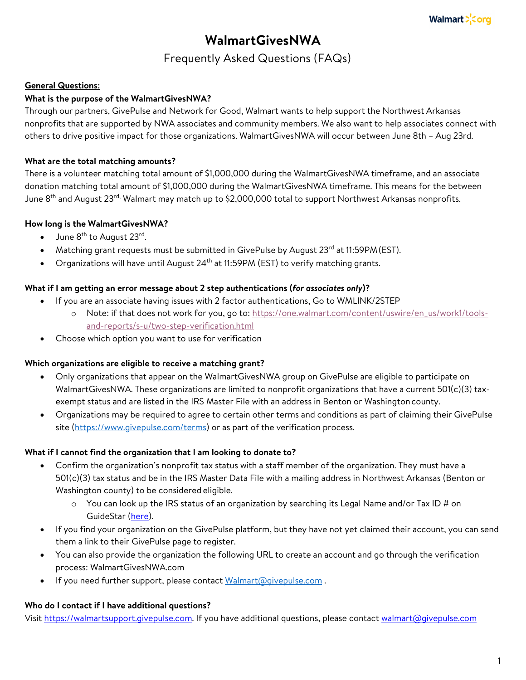# **WalmartGivesNWA**

# Frequently Asked Questions (FAQs)

#### **General Questions:**

#### **What is the purpose of the WalmartGivesNWA?**

Through our partners, GivePulse and Network for Good, Walmart wants to help support the Northwest Arkansas nonprofits that are supported by NWA associates and community members. We also want to help associates connect with others to drive positive impact for those organizations. WalmartGivesNWA will occur between June 8th – Aug 23rd.

#### **What are the total matching amounts?**

There is a volunteer matching total amount of \$1,000,000 during the WalmartGivesNWA timeframe, and an associate donation matching total amount of \$1,000,000 during the WalmartGivesNWA timeframe. This means for the between June 8<sup>th</sup> and August 23<sup>rd,</sup> Walmart may match up to \$2,000,000 total to support Northwest Arkansas nonprofits.

#### **How long is the WalmartGivesNWA?**

- June  $8^{th}$  to August 23<sup>rd</sup>.
- Matching grant requests must be submitted in GivePulse by August 23<sup>rd</sup> at 11:59PM (EST).
- Organizations will have until August  $24<sup>th</sup>$  at 11:59PM (EST) to verify matching grants.

#### **What if I am getting an error message about 2 step authentications (***for associates only***)?**

- If you are an associate having issues with 2 factor authentications, Go to WMLINK/2STEP
	- o Note: if that does not work for you, go to: https://one.walmart.com/content/uswire/en\_us/work1/toolsand-reports/s-u/two-step-verification.html
- Choose which option you want to use for verification

#### **Which organizations are eligible to receive a matching grant?**

- Only organizations that appear on the WalmartGivesNWA group on GivePulse are eligible to participate on WalmartGivesNWA. These organizations are limited to nonprofit organizations that have a current 501(c)(3) taxexempt status and are listed in the IRS Master File with an address in Benton or Washingtoncounty.
- Organizations may be required to agree to certain other terms and conditions as part of claiming their GivePulse site (https://www.givepulse.com/terms) or as part of the verification process.

#### **What if I cannot find the organization that I am looking to donate to?**

- Confirm the organization's nonprofit tax status with a staff member of the organization. They must have a 501(c)(3) tax status and be in the IRS Master Data File with a mailing address in Northwest Arkansas (Benton or Washington county) to be considered eligible.
	- $\circ$  You can look up the IRS status of an organization by searching its Legal Name and/or Tax ID # on GuideStar (here).
- If you find your organization on the GivePulse platform, but they have not yet claimed their account, you can send them a link to their GivePulse page to register.
- You can also provide the organization the following URL to create an account and go through the verification process: WalmartGivesNWA.com
- If you need further support, please contact Walmart@givepulse.com.

#### **Who do I contact if I have additional questions?**

Visit https://walmartsupport.givepulse.com. If you have additional questions, please contact walmart@givepulse.com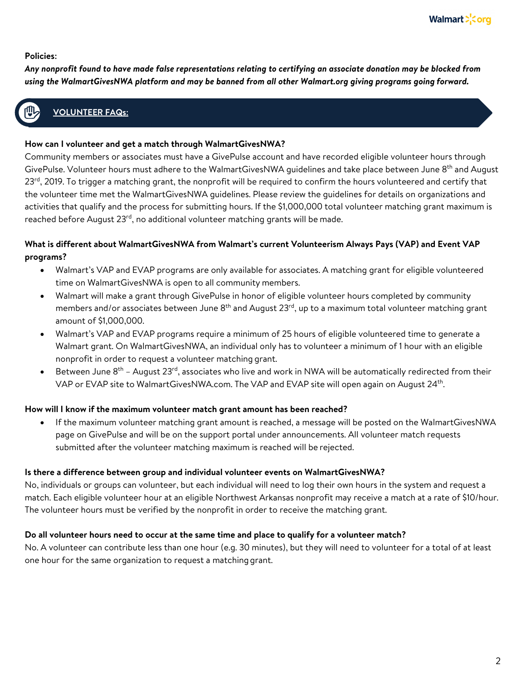#### **Policies:**

*Any nonprofit found to have made false representations relating to certifying an associate donation may be blocked from using the WalmartGivesNWA platform and may be banned from all other Walmart.org giving programs going forward.*

### **VOLUNTEER FAQs:**

#### **How can I volunteer and get a match through WalmartGivesNWA?**

Community members or associates must have a GivePulse account and have recorded eligible volunteer hours through GivePulse. Volunteer hours must adhere to the WalmartGivesNWA quidelines and take place between June 8<sup>th</sup> and August 23<sup>rd</sup>, 2019. To trigger a matching grant, the nonprofit will be required to confirm the hours volunteered and certify that the volunteer time met the WalmartGivesNWA guidelines. Please review the guidelines for details on organizations and activities that qualify and the process for submitting hours. If the \$1,000,000 total volunteer matching grant maximum is reached before August 23<sup>rd</sup>, no additional volunteer matching grants will be made.

#### **What is different about WalmartGivesNWA from Walmart's current Volunteerism Always Pays (VAP) and Event VAP programs?**

- Walmart's VAP and EVAP programs are only available for associates. A matching grant for eligible volunteered time on WalmartGivesNWA is open to all community members.
- Walmart will make a grant through GivePulse in honor of eligible volunteer hours completed by community members and/or associates between June 8<sup>th</sup> and August 23<sup>rd</sup>, up to a maximum total volunteer matching grant amount of \$1,000,000.
- Walmart's VAP and EVAP programs require a minimum of 25 hours of eligible volunteered time to generate a Walmart grant. On WalmartGivesNWA, an individual only has to volunteer a minimum of 1 hour with an eligible nonprofit in order to request a volunteer matching grant.
- Between June  $8^{th}$  August 23<sup>rd</sup>, associates who live and work in NWA will be automatically redirected from their VAP or EVAP site to WalmartGivesNWA.com. The VAP and EVAP site will open again on August 24<sup>th</sup>.

#### **How will I know if the maximum volunteer match grant amount has been reached?**

• If the maximum volunteer matching grant amount is reached, a message will be posted on the WalmartGivesNWA page on GivePulse and will be on the support portal under announcements. All volunteer match requests submitted after the volunteer matching maximum is reached will be rejected.

#### **Is there a difference between group and individual volunteer events on WalmartGivesNWA?**

No, individuals or groups can volunteer, but each individual will need to log their own hours in the system and request a match. Each eligible volunteer hour at an eligible Northwest Arkansas nonprofit may receive a match at a rate of \$10/hour. The volunteer hours must be verified by the nonprofit in order to receive the matching grant.

#### **Do all volunteer hours need to occur at the same time and place to qualify for a volunteer match?**

No. A volunteer can contribute less than one hour (e.g. 30 minutes), but they will need to volunteer for a total of at least one hour for the same organization to request a matchinggrant.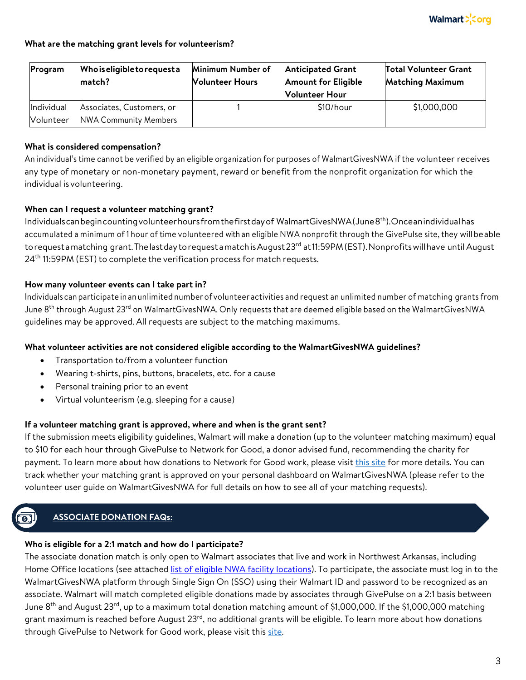#### **What are the matching grant levels for volunteerism?**

| Program                        | <b>Whoiseligibletorequesta</b><br>match?                  | Minimum Number of<br><b>Nolunteer Hours</b> | <b>Anticipated Grant</b><br><b>Amount for Eligible</b><br><b>Nolunteer Hour</b> | <b>Total Volunteer Grant</b><br><b>Matching Maximum</b> |
|--------------------------------|-----------------------------------------------------------|---------------------------------------------|---------------------------------------------------------------------------------|---------------------------------------------------------|
| Individual<br><b>Nolunteer</b> | Associates, Customers, or<br><b>NWA Community Members</b> |                                             | \$10/hour                                                                       | \$1,000,000                                             |

#### **What is considered compensation?**

An individual's time cannot be verified by an eligible organization for purposes of WalmartGivesNWA if the volunteer receives any type of monetary or non-monetary payment, reward or benefit from the nonprofit organization for which the individual is volunteering.

#### **When can I request a volunteer matching grant?**

Individualscanbegincountingvolunteerhoursfromthefirstdayof WalmartGivesNWA(June8th).Onceanindividualhas accumulated a minimum of 1 hour of time volunteered with an eligible NWA nonprofit through the GivePulse site, they willbeable torequesta matching grant. The last day to requesta match is August 23<sup>rd</sup> at 11:59PM (EST). Nonprofits will have until August 24<sup>th</sup> 11:59PM (EST) to complete the verification process for match requests.

#### **How many volunteer events can I take part in?**

Individuals can participate in an unlimited number of volunteer activities and request an unlimited number of matching grants from June 8<sup>th</sup> through August 23<sup>rd</sup> on WalmartGivesNWA. Only requests that are deemed eligible based on the WalmartGivesNWA guidelines may be approved. All requests are subject to the matching maximums.

#### **What volunteer activities are not considered eligible according to the WalmartGivesNWA guidelines?**

- Transportation to/from a volunteer function
- Wearing t-shirts, pins, buttons, bracelets, etc. for a cause
- Personal training prior to an event
- Virtual volunteerism (e.g. sleeping for a cause)

#### **If a volunteer matching grant is approved, where and when is the grant sent?**

If the submission meets eligibility guidelines, Walmart will make a donation (up to the volunteer matching maximum) equal to \$10 for each hour through GivePulse to Network for Good, a donor advised fund, recommending the charity for payment. To learn more about how donations to Network for Good work, please visit this site for more details. You can track whether your matching grant is approved on your personal dashboard on WalmartGivesNWA (please refer to the volunteer user guide on WalmartGivesNWA for full details on how to see all of your matching requests).

### **ASSOCIATE DONATION FAQs:**

#### **Who is eligible for a 2:1 match and how do I participate?**

The associate donation match is only open to Walmart associates that live and work in Northwest Arkansas, including Home Office locations (see attached list of eligible NWA facility locations). To participate, the associate must log in to the WalmartGivesNWA platform through Single Sign On (SSO) using their Walmart ID and password to be recognized as an associate. Walmart will match completed eligible donations made by associates through GivePulse on a 2:1 basis between June 8<sup>th</sup> and August 23<sup>rd</sup>, up to a maximum total donation matching amount of \$1,000,000. If the \$1,000,000 matching grant maximum is reached before August 23<sup>rd</sup>, no additional grants will be eligible. To learn more about how donations through GivePulse to Network for Good work, please visit this site.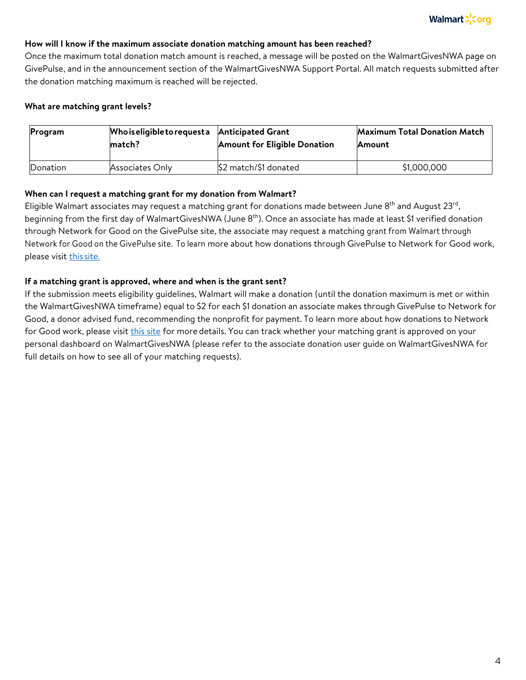#### **How will I know if the maximum associate donation matching amount has been reached?**

Once the maximum total donation match amount is reached, a message will be posted on the WalmartGivesNWA page on GivePulse, and in the announcement section of the WalmartGivesNWA Support Portal. All match requests submitted after the donation matching maximum is reached will be rejected.

#### **What are matching grant levels?**

| <b>Program</b> | Who is eligible to request a | <b>Anticipated Grant</b>            | <b>Maximum Total Donation Match</b> |
|----------------|------------------------------|-------------------------------------|-------------------------------------|
|                | match?                       | <b>Amount for Eligible Donation</b> | <b>Amount</b>                       |
| Donation       | Associates Only              | \$2 match/\$1 donated               | \$1,000,000                         |

#### **When can I request a matching grant for my donation from Walmart?**

Eligible Walmart associates may request a matching grant for donations made between June 8<sup>th</sup> and August 23<sup>rd</sup>, beginning from the first day of WalmartGivesNWA (June 8<sup>th</sup>). Once an associate has made at least \$1 verified donation through Network for Good on the GivePulse site, the associate may request a matching grant from Walmart through Network for Good on the GivePulse site. To learn more about how donations through GivePulse to Network for Good work, please visit this site.

#### **If a matching grant is approved, where and when is the grant sent?**

If the submission meets eligibility guidelines, Walmart will make a donation (until the donation maximum is met or within the WalmartGivesNWA timeframe) equal to \$2 for each \$1 donation an associate makes through GivePulse to Network for Good, a donor advised fund, recommending the nonprofit for payment. To learn more about how donations to Network for Good work, please visit this site for more details. You can track whether your matching grant is approved on your personal dashboard on WalmartGivesNWA (please refer to the associate donation user guide on WalmartGivesNWA for full details on how to see all of your matching requests).